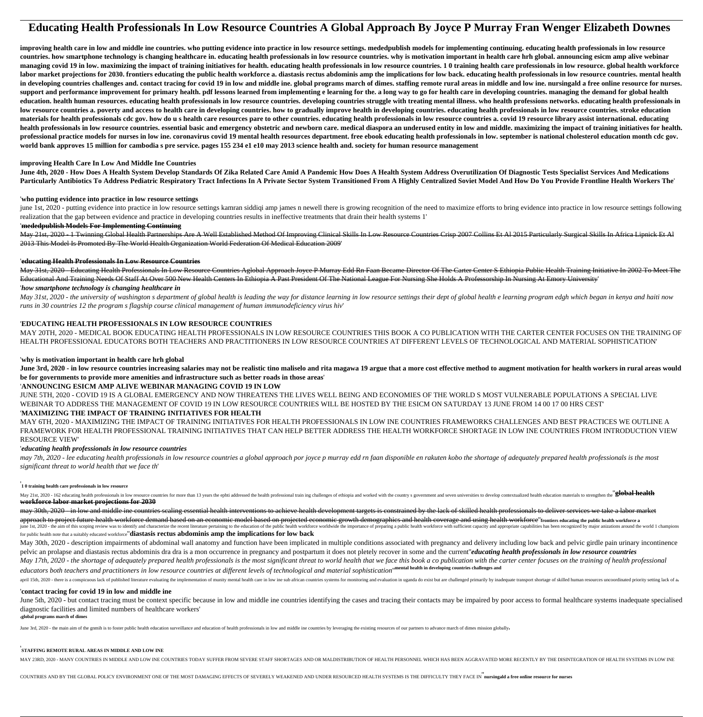# **Educating Health Professionals In Low Resource Countries A Global Approach By Joyce P Murray Fran Wenger Elizabeth Downes**

**improving health care in low and middle ine countries. who putting evidence into practice in low resource settings. mededpublish models for implementing continuing. educating health professionals in low resource countries. how smartphone technology is changing healthcare in. educating health professionals in low resource countries. why is motivation important in health care hrh global. announcing esicm amp alive webinar** managing covid 19 in low. maximizing the impact of training initiatives for health. educating health professionals in low resource countries. 1 0 training health care professionals in low resource. global health workforce labor market projections for 2030, frontiers educating the public health workforce a, diastasis rectus abdominis amp the implications for low back, educating health professionals in low resource countries, mental health in developing countries challenges and. contact tracing for covid 19 in low and middle ine. global programs march of dimes. staffing remote rural areas in middle and low ine. nursingald a free online resource for nurses. support and performance improvement for primary health. pdf lessons learned from implementing e learning for the. a long way to go for health care in developing countries. managing the demand for global health education. health human resources. educating health professionals in low resource countries. developing countries struggle with treating mental illness. who health professions networks. educating health professionals in **low resource countries a. poverty and access to health care in developing countries. how to gradually improve health in developing countries. educating health professionals in low resource countries. stroke education** materials for health professionals cdc gov. how do u s health care resources pare to other countries. educating health professionals in low resource countries a. covid 19 resource library assist international. educating health professionals in low resource countries, essential basic and emergency obstetric and newborn care, medical diaspora an underused entity in low and middle, maximizing the impact of training initiatives for health. **professional practice models for nurses in low ine. coronavirus covid 19 mental health resources department. free ebook educating health professionals in low. september is national cholesterol education month cdc gov. world bank approves 15 million for cambodia s pre service. pages 155 234 e1 e10 may 2013 science health and. society for human resource management**

## **improving Health Care In Low And Middle Ine Countries**

**June 4th, 2020 - How Does A Health System Develop Standards Of Zika Related Care Amid A Pandemic How Does A Health System Address Overutilization Of Diagnostic Tests Specialist Services And Medications Particularly Antibiotics To Address Pediatric Respiratory Tract Infections In A Private Sector System Transitioned From A Highly Centralized Soviet Model And How Do You Provide Frontline Health Workers The**'

## '**who putting evidence into practice in low resource settings**

june 1st, 2020 - putting evidence into practice in low resource settings kamran siddiqi amp james n newell there is growing recognition of the need to maximize efforts to bring evidence into practice in low resource settin realization that the gap between evidence and practice in developing countries results in ineffective treatments that drain their health systems 1'

## '**mededpublish Models For Implementing Continuing**

May 21st, 2020 - 1 Twinning Global Health Partnerships Are A Well Established Method Of Improving Clinical Skills In Low Resource Countries Crisp 2007 Collins Et Al 2015 Particularly Surgical Skills In Africa Lipnick Et Al 2013 This Model Is Promoted By The World Health Organization World Federation Of Medical Education 2009'

#### '**educating Health Professionals In Low Resource Countries**

May 31st, 2020 - Educating Health Professionals In Low Resource Countries Aglobal Approach Joyce P Murray Edd Rn Faan Became Director Of The Carter Center S Ethiopia Public Health Training Initiative In 2002 To Meet The Educational And Training Needs Of Staff At Over 500 New Health Centers In Ethiopia A Past President Of The National League For Nursing She Holds A Professorship In Nursing At Emory University' '*how smartphone technology is changing healthcare in*

## May 31st, 2020 - the university of washington s department of global health is leading the way for distance learning in low resource settings their dept of global health e learning program edgh which began in kenya and hai *runs in 30 countries 12 the program s flagship course clinical management of human immunodeficiency virus hiv*'

## '**EDUCATING HEALTH PROFESSIONALS IN LOW RESOURCE COUNTRIES**

MAY 20TH, 2020 - MEDICAL BOOK EDUCATING HEALTH PROFESSIONALS IN LOW RESOURCE COUNTRIES THIS BOOK A CO PUBLICATION WITH THE CARTER CENTER FOCUSES ON THE TRAINING OF HEALTH PROFESSIONAL EDUCATORS BOTH TEACHERS AND PRACTITIONERS IN LOW RESOURCE COUNTRIES AT DIFFERENT LEVELS OF TECHNOLOGICAL AND MATERIAL SOPHISTICATION'

#### '**why is motivation important in health care hrh global**

June 3rd, 2020 - in low resource countries increasing salaries may not be realistic tino maliselo and rita magawa 19 argue that a more cost effective method to augment motivation for health workers in rural areas would **be for governments to provide more amenities and infrastructure such as better roads in those areas**'

## '**ANNOUNCING ESICM AMP ALIVE WEBINAR MANAGING COVID 19 IN LOW**

JUNE 5TH, 2020 - COVID 19 IS A GLOBAL EMERGENCY AND NOW THREATENS THE LIVES WELL BEING AND ECONOMIES OF THE WORLD S MOST VULNERABLE POPULATIONS A SPECIAL LIVE WEBINAR TO ADDRESS THE MANAGEMENT OF COVID 19 IN LOW RESOURCE COUNTRIES WILL BE HOSTED BY THE ESICM ON SATURDAY 13 JUNE FROM 14 00 17 00 HRS CEST'

## '**MAXIMIZING THE IMPACT OF TRAINING INITIATIVES FOR HEALTH**

MAY 6TH, 2020 - MAXIMIZING THE IMPACT OF TRAINING INITIATIVES FOR HEALTH PROFESSIONALS IN LOW INE COUNTRIES FRAMEWORKS CHALLENGES AND BEST PRACTICES WE OUTLINE A FRAMEWORK FOR HEALTH PROFESSIONAL TRAINING INITIATIVES THAT CAN HELP BETTER ADDRESS THE HEALTH WORKFORCE SHORTAGE IN LOW INE COUNTRIES FROM INTRODUCTION VIEW RESOURCE VIEW'

## '*educating health professionals in low resource countries*

may 7th, 2020 - lee educating health professionals in low resource countries a global approach por joyce p murray edd rn faan disponible en rakuten kobo the shortage of adequately prepared health professionals is the most *significant threat to world health that we face th*'

### '**1 0 training health care professionals in low resource**

May 21st, 2020 - 162 educating health professionals in low resource countries for more than 13 years the ephti addressed the health professional train ing challenges of ethiopia and worked with the country s government and **workforce labor market projections for 2030**

may 30th, 2020 - in low and middle ine countries scaling essential health interventions to achieve health development targets is constrained by the lack of skilled health professionals to deliver services we take a labor m approach to project future health workforce demand based on an economic model based on projected economic growth demographics and health coverage and using health workforce" frontiers educating the public health workforce e 1st, 2020 - the aim of this scoping review was to identify and characterize the recent literature pertaining to the education of the public health workforce worldwide the importance of preparing a public health workforce for public health note that a suitably educated workforce''**diastasis rectus abdominis amp the implications for low back**

May 30th, 2020 - description impairments of abdominal wall anatomy and function have been implicated in multiple conditions associated with pregnancy and delivery including low back and pelvic girdle pain urinary incontine pelvic an prolapse and diastasis rectus abdominis dra dra is a mon occurrence in pregnancy and postpartum it does not pletely recover in some and the current''*educating health professionals in low resource countries*

May 17th, 2020 - the shortage of adequately prepared health professionals is the most significant threat to world health that we face this book a co publication with the carter center focuses on the training of health prof *educators both teachers and practitioners in low resource countries at different levels of technological and material sophistication*''**mental health in developing countries challenges and**

april 15th, 2020 - there is a conspicuous lack of published literature evaluating the implementation of munity mental health care in low ine sub african countries systems for monitoring and evaluation in uganda do exist bu

## '**contact tracing for covid 19 in low and middle ine**

June 5th, 2020 - but contact tracing must be context specific because in low and middle ine countries identifying the cases and tracing their contacts may be impaired by poor access to formal healthcare systems inadequate diagnostic facilities and limited numbers of healthcare workers'

#### '**global programs march of dimes**

June 3rd, 2020 - the main aim of the gnmih is to foster public health education surveillance and education of health professionals in low and middle ine countries by leveraging the existing resources of our partners to adv

## '**STAFFING REMOTE RURAL AREAS IN MIDDLE AND LOW INE**

MAY 23RD, 2020 - MANY COUNTRIES IN MIDDLE AND LOW INE COUNTRIES TODAY SUFFER FROM SEVERE STAFF SHORTAGES AND OR MALDISTRIBUTION OF HEALTH PERSONNEL WHICH HAS BEEN AGGRAVATED MORE RECENTLY BY THE DISINTEGRATION OF HEALTH SY

COUNTRIES AND BY THE GLOBAL POLICY ENVIRONMENT ONE OF THE MOST DAMAGING EFFECTS OF SEVERELY WEAKENED AND UNDER RESOURCED HEALTH SYSTEMS IS THE DIFFICULTY THEY FACE IN''**nursingald a free online resource for nurses**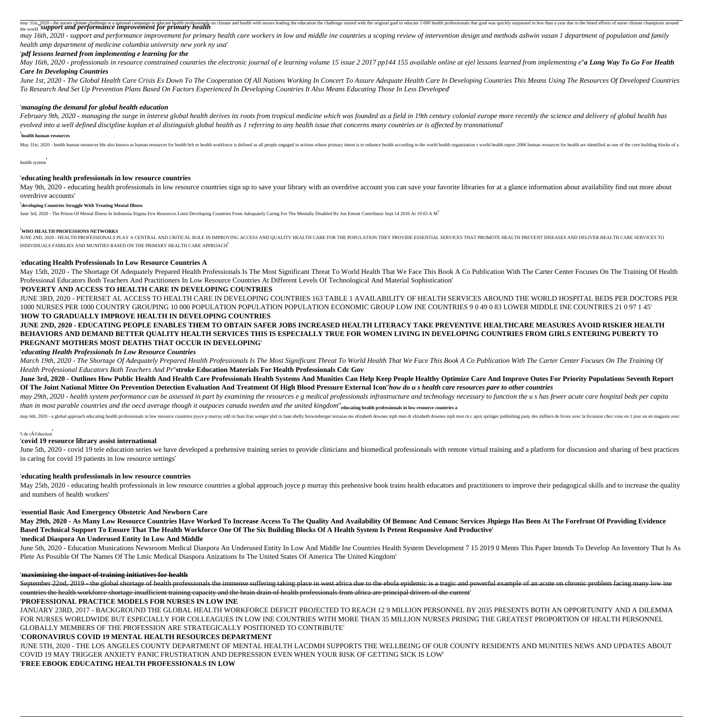#### ate and health with nurses leading the education the challenge started with the original goal to educate 5 000 health professionals that goal was quickly surpassed in less than a year due to the bined efforts of nurse clim Inay 51st,  $\mu$ 020 - the nurses climate challenge is a national campaign to educate health professionals the world **Support and performance improvement for primary health**

may 16th, 2020 - support and performance improvement for primary health care workers in low and middle ine countries a scoping review of intervention design and methods ashwin vasan 1 department of population and family *health amp department of medicine columbia university new york ny usa*'

## '*pdf lessons learned from implementing e learning for the*

May 16th, 2020 - professionals in resource constrained countries the electronic journal of e learning volume 15 issue 2 2017 pp144 155 available online at ejel lessons learned from implementing e"a Long Way To Go For Healt *Care In Developing Countries*

June 1st, 2020 - The Global Health Care Crisis Es Down To The Cooperation Of All Nations Working In Concert To Assure Adequate Health Care In Developing Countries This Means Using The Resources Of Developed Countries *To Research And Set Up Prevention Plans Based On Factors Experienced In Developing Countries It Also Means Educating Those In Less Developed*'

## '*managing the demand for global health education*

February 9th, 2020 - managing the surge in interest global health derives its roots from tropical medicine which was founded as a field in 19th century colonial europe more recently the science and delivery of global healt *evolved into a well defined discipline koplan et al distinguish global health as 1 referring to any health issue that concerns many countries or is affected by transnational*'

## '**health human resources**

May 31st, 2020 - health human resources thr also known as human resources for health hrh or health hrh or health workforce is defined as all people engaged in actions whose primary intent is to enhance health according to

health system'

#### '**educating health professionals in low resource countries**

May 9th, 2020 - educating health professionals in low resource countries sign up to save your library with an overdrive account you can save your favorite libraries for at a glance information about availability find out m overdrive accounts'

#### '**developing Countries Struggle With Treating Mental Illness**

June 3rd, 2020 - The Prison Of Mental Illness In Indonesia Stigma Few Resources Limit Developing Countries From Adequately Caring For The Mentally Disabled By Jon Emont Contributor Sept 14 2016 At 10 03 A M'

#### '**WHO HEALTH PROFESSIONS NETWORKS**

JUNE 2ND, 2020 - HEALTH PROFESSIONALS PLAY A CENTRAL AND CRITICAL ROLE IN IMPROVING ACCESS AND QUALITY HEALTH CARE FOR THE POPULATION THEY PROVIDE ESSENTIAL SERVICES THAT PROMOTE HEALTH PREVENT DISEASES AND DELIVER HEALTH INDIVIDUALS FAMILIES AND MUNITIES BASED ON THE PRIMARY HEALTH CARE APPROACH'

#### '**educating Health Professionals In Low Resource Countries A**

May 15th, 2020 - The Shortage Of Adequately Prepared Health Professionals Is The Most Significant Threat To World Health That We Face This Book A Co Publication With The Carter Center Focuses On The Training Of Health Professional Educators Both Teachers And Practitioners In Low Resource Countries At Different Levels Of Technological And Material Sophistication'

#### '**POVERTY AND ACCESS TO HEALTH CARE IN DEVELOPING COUNTRIES**

JUNE 3RD, 2020 - PETERSET AL ACCESS TO HEALTH CARE IN DEVELOPING COUNTRIES 163 TABLE 1 AVAILABILITY OF HEALTH SERVICES AROUND THE WORLD HOSPITAL BEDS PER DOCTORS PER 1000 NURSES PER 1000 COUNTRY GROUPING 10 000 POPULATION POPULATION POPULATION ECONOMIC GROUP LOW INE COUNTRIES 9 0 49 0 83 LOWER MIDDLE INE COUNTRIES 21 0 97 1 45' '**HOW TO GRADUALLY IMPROVE HEALTH IN DEVELOPING COUNTRIES**

## **JUNE 2ND, 2020 - EDUCATING PEOPLE ENABLES THEM TO OBTAIN SAFER JOBS INCREASED HEALTH LITERACY TAKE PREVENTIVE HEALTHCARE MEASURES AVOID RISKIER HEALTH BEHAVIORS AND DEMAND BETTER QUALITY HEALTH SERVICES THIS IS ESPECIALLY TRUE FOR WOMEN LIVING IN DEVELOPING COUNTRIES FROM GIRLS ENTERING PUBERTY TO PREGNANT MOTHERS MOST DEATHS THAT OCCUR IN DEVELOPING**'

'*educating Health Professionals In Low Resource Countries*

*March 19th, 2020 - The Shortage Of Adequately Prepared Health Professionals Is The Most Significant Threat To World Health That We Face This Book A Co Publication With The Carter Center Focuses On The Training Of Health Professional Educators Both Teachers And Pr*''**stroke Education Materials For Health Professionals Cdc Gov**

**June 3rd, 2020 - Outlines How Public Health And Health Care Professionals Health Systems And Munities Can Help Keep People Healthy Optimize Care And Improve Outes For Priority Populations Seventh Report Of The Joint National Mittee On Prevention Detection Evaluation And Treatment Of High Blood Pressure External Icon**''*how do u s health care resources pare to other countries*

may 29th, 2020 - health system performance can be assessed in part by examining the resources e g medical professionals infrastructure and technology necessary to function the us has fewer acute care hospital beds per capi *than in most parable countries and the oecd average though it outpaces canada sweden and the united kingdom*''**educating health professionals in low resource countries a**

may 6th, 2020 - a global approach educating health professionals in low resource countries joyce p murray edd rn faan fran wenger phd rn faan fran wenger phd rn faan shelly brownsberger terrazas ms elizabeth downes mph msn

#### 5 de réduction'

#### '**covid 19 resource library assist international**

June 5th, 2020 - covid 19 tele education series we have developed a prehensive training series to provide clinicians and biomedical professionals with remote virtual training and a platform for discussion and sharing of be in caring for covid 19 patients in low resource settings'

## '**educating health professionals in low resource countries**

May 25th, 2020 - educating health professionals in low resource countries a global approach joyce p murray this prehensive book trains health educators and practitioners to improve their pedagogical skills and to increase and numbers of health workers'

## '**essential Basic And Emergency Obstetric And Newborn Care**

**May 29th, 2020 - As Many Low Resource Countries Have Worked To Increase Access To The Quality And Availability Of Bemonc And Cemonc Services Jhpiego Has Been At The Forefront Of Providing Evidence Based Technical Support To Ensure That The Health Workforce One Of The Six Building Blocks Of A Health System Is Petent Responsive And Productive**'

## '**medical Diaspora An Underused Entity In Low And Middle**

June 5th, 2020 - Education Munications Newsroom Medical Diaspora An Underused Entity In Low And Middle Ine Countries Health System Development 7 15 2019 0 Ments This Paper Intends To Develop An Inventory That Is As Plete As Possible Of The Names Of The Lmic Medical Diaspora Anizations In The United States Of America The United Kingdom'

#### '**maximizing the impact of training initiatives for health**

September 22nd, 2019 - the global shortage of health professionals the immense suffering taking place in west africa due to the ebola epidemic is a tragic and powerful example of an acute on chronic problem facing many low countries the health workforce shortage insufficient training capacity and the brain drain of health professionals from africa are principal drivers of the current'

## '**PROFESSIONAL PRACTICE MODELS FOR NURSES IN LOW INE**

JANUARY 23RD, 2017 - BACKGROUND THE GLOBAL HEALTH WORKFORCE DEFICIT PROJECTED TO REACH 12 9 MILLION PERSONNEL BY 2035 PRESENTS BOTH AN OPPORTUNITY AND A DILEMMA FOR NURSES WORLDWIDE BUT ESPECIALLY FOR COLLEAGUES IN LOW INE COUNTRIES WITH MORE THAN 35 MILLION NURSES PRISING THE GREATEST PROPORTION OF HEALTH PERSONNEL GLOBALLY MEMBERS OF THE PROFESSION ARE STRATEGICALLY POSITIONED TO CONTRIBUTE'

## '**CORONAVIRUS COVID 19 MENTAL HEALTH RESOURCES DEPARTMENT**

JUNE 5TH, 2020 - THE LOS ANGELES COUNTY DEPARTMENT OF MENTAL HEALTH LACDMH SUPPORTS THE WELLBEING OF OUR COUNTY RESIDENTS AND MUNITIES NEWS AND UPDATES ABOUT COVID 19 MAY TRIGGER ANXIETY PANIC FRUSTRATION AND DEPRESSION EVEN WHEN YOUR RISK OF GETTING SICK IS LOW'

## '**FREE EBOOK EDUCATING HEALTH PROFESSIONALS IN LOW**